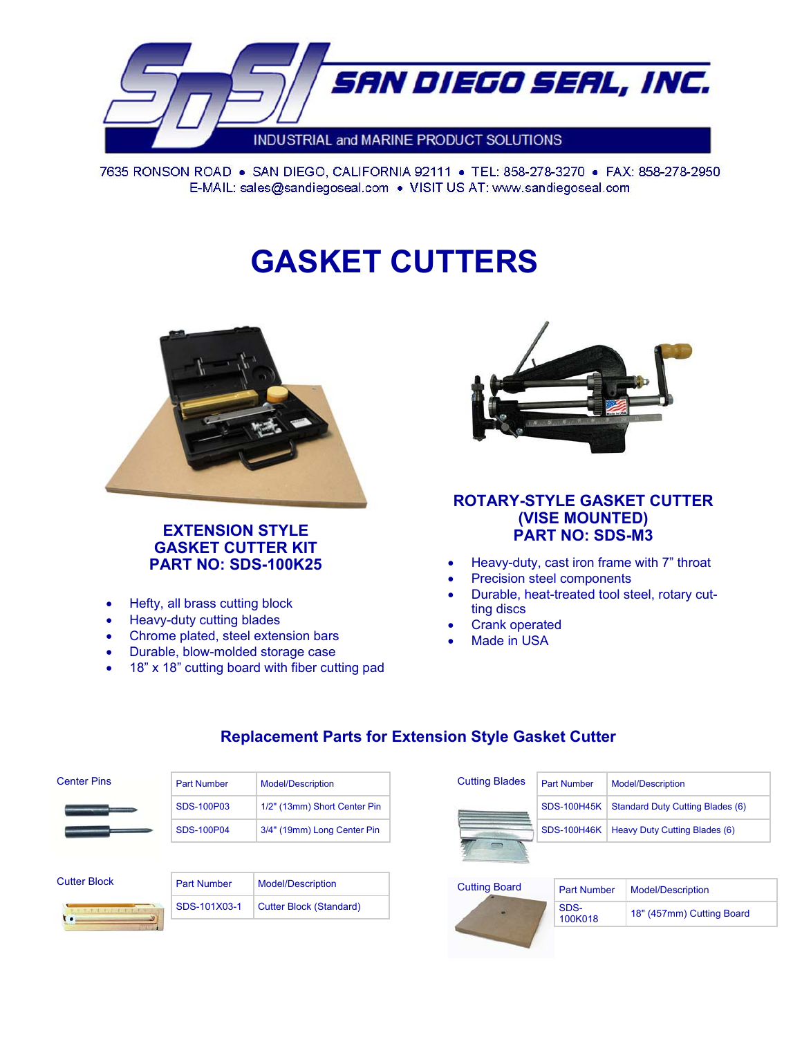

7635 RONSON ROAD . SAN DIEGO, CALIFORNIA 92111 . TEL: 858-278-3270 . FAX: 858-278-2950 E-MAIL: sales@sandiegoseal.com . VISIT US AT: www.sandiegoseal.com

# **GASKET CUTTERS**



# **EXTENSION STYLE GASKET CUTTER KIT PART NO: SDS-100K25**

- Hefty, all brass cutting block
- Heavy-duty cutting blades
- Chrome plated, steel extension bars
- Durable, blow-molded storage case
- 18" x 18" cutting board with fiber cutting pad



### **ROTARY-STYLE GASKET CUTTER (VISE MOUNTED) PART NO: SDS-M3**

- Heavy-duty, cast iron frame with 7" throat
- Precision steel components
- Durable, heat-treated tool steel, rotary cutting discs
- Crank operated
- Made in USA

| <b>Center Pins</b> | <b>Model/Description</b><br><b>Part Number</b> |                              |
|--------------------|------------------------------------------------|------------------------------|
|                    | SDS-100P03                                     |                              |
|                    |                                                | 1/2" (13mm) Short Center Pin |
|                    | SDS-100P04                                     | 3/4" (19mm) Long Center Pin  |
|                    |                                                |                              |

# **Replacement Parts for Extension Style Gasket Cutter**

| <b>Cutting Blades</b> | <b>Part Number</b> | <b>Model/Description</b>                |  |
|-----------------------|--------------------|-----------------------------------------|--|
|                       | <b>SDS-100H45K</b> | <b>Standard Duty Cutting Blades (6)</b> |  |
|                       | <b>SDS-100H46K</b> | Heavy Duty Cutting Blades (6)           |  |
|                       |                    |                                         |  |
| Cutting Board         | Double Millen Book | Madel/Deservistics                      |  |



| <b>Part Number</b> | <b>Model/Description</b>  |
|--------------------|---------------------------|
| SDS-<br>100K018    | 18" (457mm) Cutting Board |

| <b>Cutter Block</b> | <b>Part Number</b> | Model/Description       |
|---------------------|--------------------|-------------------------|
|                     | SDS-101X03-1       | Cutter Block (Standard) |
|                     |                    |                         |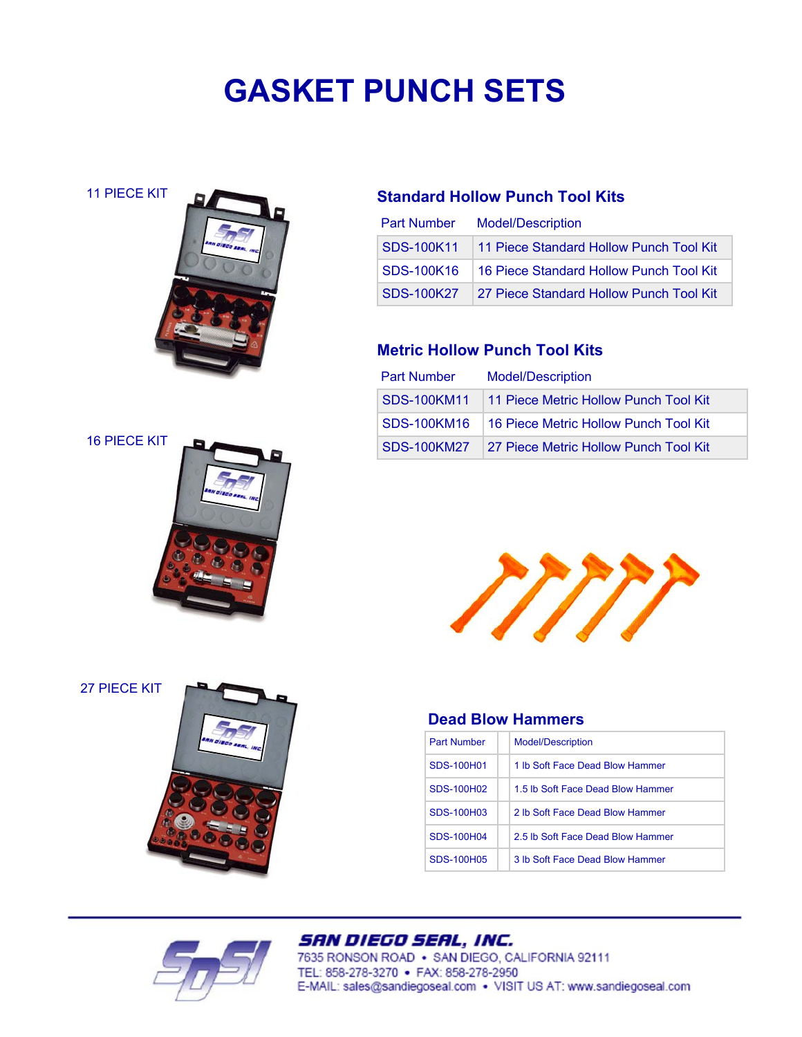# **GASKET PUNCH SETS**

11 PIECE KIT



#### 16 PIECE KIT



27 PIECE KIT





# **Standard Hollow Punch Tool Kits**

| <b>Part Number</b> | <b>Model/Description</b>                |  |  |
|--------------------|-----------------------------------------|--|--|
| SDS-100K11         | 11 Piece Standard Hollow Punch Tool Kit |  |  |
| SDS-100K16         | 16 Piece Standard Hollow Punch Tool Kit |  |  |
| SDS-100K27         | 27 Piece Standard Hollow Punch Tool Kit |  |  |

# **Metric Hollow Punch Tool Kits**

| <b>Part Number</b> | <b>Model/Description</b>                          |  |  |
|--------------------|---------------------------------------------------|--|--|
|                    | SDS-100KM11 11 Piece Metric Hollow Punch Tool Kit |  |  |
| <b>SDS-100KM16</b> | 16 Piece Metric Hollow Punch Tool Kit             |  |  |
| <b>SDS-100KM27</b> | 27 Piece Metric Hollow Punch Tool Kit             |  |  |



### **Dead Blow Hammers**

| <b>Part Number</b> | <b>Model/Description</b>          |
|--------------------|-----------------------------------|
| SDS-100H01         | 1 lb Soft Face Dead Blow Hammer   |
| SDS-100H02         | 1.5 lb Soft Face Dead Blow Hammer |
| SDS-100H03         | 2 lb Soft Face Dead Blow Hammer   |
| SDS-100H04         | 2.5 lb Soft Face Dead Blow Hammer |
| SDS-100H05         | 3 lb Soft Face Dead Blow Hammer   |

# SAN DIEGO SEAL, INC.

7635 RONSON ROAD . SAN DIEGO, CALIFORNIA 92111 TEL: 858-278-3270 • FAX: 858-278-2950 E-MAIL: sales@sandiegoseal.com . VISIT US AT: www.sandiegoseal.com